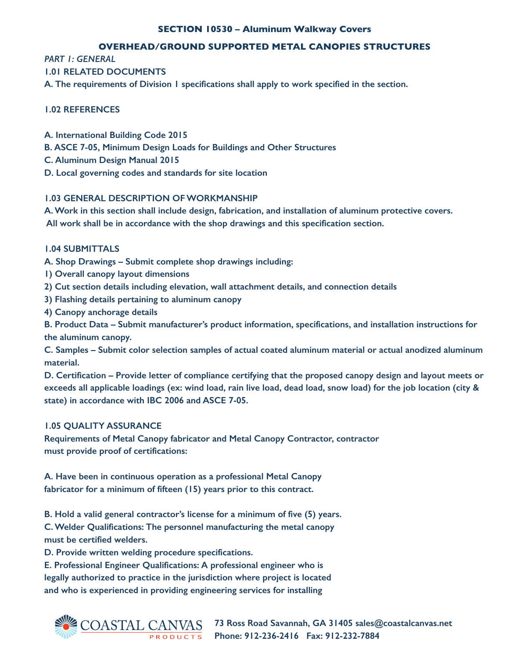## **SECTION 10530 – Aluminum Walkway Covers**

## **OVERHEAD/GROUND SUPPORTED METAL CANOPIES STRUCTURES**

*PART 1: GENERAL*

## **1.01 RELATED DOCUMENTS**

**A. The requirements of Division 1 specifications shall apply to work specified in the section.** 

# **1.02 REFERENCES**

- **A. International Building Code 2015**
- **B. ASCE 7-05, Minimum Design Loads for Buildings and Other Structures**
- **C. Aluminum Design Manual 2015**
- **D. Local governing codes and standards for site location**

## **1.03 GENERAL DESCRIPTION OF WORKMANSHIP**

**A. Work in this section shall include design, fabrication, and installation of aluminum protective covers. All work shall be in accordance with the shop drawings and this specification section.** 

## **1.04 SUBMITTALS**

**A. Shop Drawings – Submit complete shop drawings including:** 

- **1) Overall canopy layout dimensions**
- **2) Cut section details including elevation, wall attachment details, and connection details**
- **3) Flashing details pertaining to aluminum canopy**
- **4) Canopy anchorage details**

**B. Product Data – Submit manufacturer's product information, specifications, and installation instructions for the aluminum canopy.** 

**C. Samples – Submit color selection samples of actual coated aluminum material or actual anodized aluminum material.** 

**D. Certification – Provide letter of compliance certifying that the proposed canopy design and layout meets or exceeds all applicable loadings (ex: wind load, rain live load, dead load, snow load) for the job location (city & state) in accordance with IBC 2006 and ASCE 7-05.**

# **1.05 QUALITY ASSURANCE**

**Requirements of Metal Canopy fabricator and Metal Canopy Contractor, contractor must provide proof of certifications:**

**A. Have been in continuous operation as a professional Metal Canopy fabricator for a minimum of fifteen (15) years prior to this contract.**

**B. Hold a valid general contractor's license for a minimum of five (5) years.**

**C. Welder Qualifications: The personnel manufacturing the metal canopy must be certified welders.**

**D. Provide written welding procedure specifications.**

**E. Professional Engineer Qualifications: A professional engineer who is legally authorized to practice in the jurisdiction where project is located and who is experienced in providing engineering services for installing**



**73 Ross Road Savannah, GA 31405 sales@coastalcanvas.net Phone: 912-236-2416 Fax: 912-232-7884**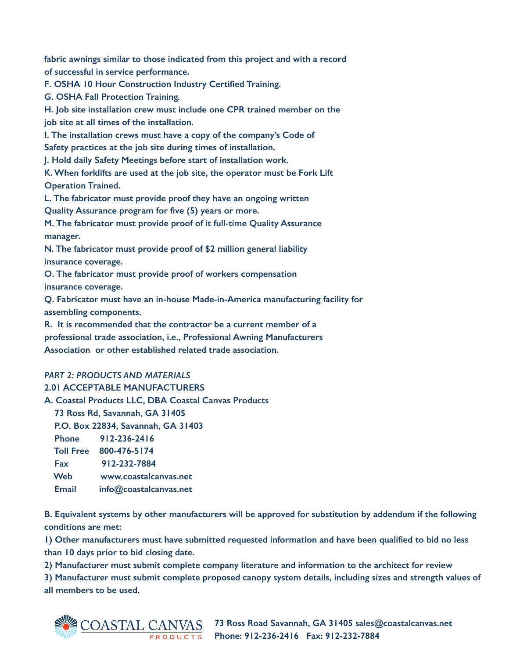**fabric awnings similar to those indicated from this project and with a record of successful in service performance.**

**F. OSHA 10 Hour Construction Industry Certified Training.**

**G. OSHA Fall Protection Training.**

**H. Job site installation crew must include one CPR trained member on the job site at all times of the installation.**

**I. The installation crews must have a copy of the company's Code of Safety practices at the job site during times of installation.**

**J. Hold daily Safety Meetings before start of installation work.**

**K. When forklifts are used at the job site, the operator must be Fork Lift Operation Trained.**

**L. The fabricator must provide proof they have an ongoing written**

**Quality Assurance program for five (5) years or more.**

**M. The fabricator must provide proof of it full-time Quality Assurance manager.**

**N. The fabricator must provide proof of \$2 million general liability insurance coverage.**

**O. The fabricator must provide proof of workers compensation insurance coverage.**

**Q. Fabricator must have an in-house Made-in-America manufacturing facility for assembling components.**

**R. It is recommended that the contractor be a current member of a professional trade association, i.e., Professional Awning Manufacturers Association or other established related trade association.**

# *PART 2: PRODUCTS AND MATERIALS*

### **2.01 ACCEPTABLE MANUFACTURERS**

**A. Coastal Products LLC, DBA Coastal Canvas Products** 

 **73 Ross Rd, Savannah, GA 31405**

 **P.O. Box 22834, Savannah, GA 31403**

 **Phone 912-236-2416 Toll Free 800-476-5174**

| <b>1011 Free 800-476-5174</b> |
|-------------------------------|
|                               |

 **Fax 912-232-7884 Web www.coastalcanvas.net**

 **Email info@coastalcanvas.net**

**B. Equivalent systems by other manufacturers will be approved for substitution by addendum if the following conditions are met:** 

**1) Other manufacturers must have submitted requested information and have been qualified to bid no less than 10 days prior to bid closing date.** 

**2) Manufacturer must submit complete company literature and information to the architect for review** 

**3) Manufacturer must submit complete proposed canopy system details, including sizes and strength values of all members to be used.** 



**73 Ross Road Savannah, GA 31405 sales@coastalcanvas.net Phone: 912-236-2416 Fax: 912-232-7884**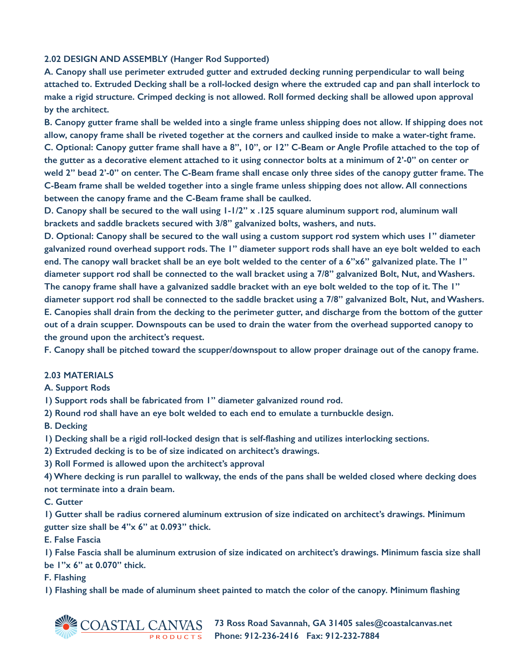## **2.02 DESIGN AND ASSEMBLY (Hanger Rod Supported)**

**A. Canopy shall use perimeter extruded gutter and extruded decking running perpendicular to wall being attached to. Extruded Decking shall be a roll-locked design where the extruded cap and pan shall interlock to make a rigid structure. Crimped decking is not allowed. Roll formed decking shall be allowed upon approval by the architect.** 

**B. Canopy gutter frame shall be welded into a single frame unless shipping does not allow. If shipping does not allow, canopy frame shall be riveted together at the corners and caulked inside to make a water-tight frame. C. Optional: Canopy gutter frame shall have a 8", 10", or 12" C-Beam or Angle Profile attached to the top of the gutter as a decorative element attached to it using connector bolts at a minimum of 2'-0" on center or weld 2" bead 2'-0" on center. The C-Beam frame shall encase only three sides of the canopy gutter frame. The C-Beam frame shall be welded together into a single frame unless shipping does not allow. All connections between the canopy frame and the C-Beam frame shall be caulked.** 

**D. Canopy shall be secured to the wall using 1-1/2" x .125 square aluminum support rod, aluminum wall brackets and saddle brackets secured with 3/8" galvanized bolts, washers, and nuts.** 

**D. Optional: Canopy shall be secured to the wall using a custom support rod system which uses 1" diameter galvanized round overhead support rods. The 1" diameter support rods shall have an eye bolt welded to each end. The canopy wall bracket shall be an eye bolt welded to the center of a 6"x6" galvanized plate. The 1" diameter support rod shall be connected to the wall bracket using a 7/8" galvanized Bolt, Nut, and Washers. The canopy frame shall have a galvanized saddle bracket with an eye bolt welded to the top of it. The 1" diameter support rod shall be connected to the saddle bracket using a 7/8" galvanized Bolt, Nut, and Washers. E. Canopies shall drain from the decking to the perimeter gutter, and discharge from the bottom of the gutter out of a drain scupper. Downspouts can be used to drain the water from the overhead supported canopy to the ground upon the architect's request.** 

**F. Canopy shall be pitched toward the scupper/downspout to allow proper drainage out of the canopy frame.** 

### **2.03 MATERIALS**

#### **A. Support Rods**

**1) Support rods shall be fabricated from 1" diameter galvanized round rod.** 

**2) Round rod shall have an eye bolt welded to each end to emulate a turnbuckle design.** 

**B. Decking** 

**1) Decking shall be a rigid roll-locked design that is self-flashing and utilizes interlocking sections.** 

**2) Extruded decking is to be of size indicated on architect's drawings.** 

**3) Roll Formed is allowed upon the architect's approval** 

**4) Where decking is run parallel to walkway, the ends of the pans shall be welded closed where decking does not terminate into a drain beam.** 

**C. Gutter** 

**1) Gutter shall be radius cornered aluminum extrusion of size indicated on architect's drawings. Minimum gutter size shall be 4"x 6" at 0.093" thick.** 

**E. False Fascia** 

**1) False Fascia shall be aluminum extrusion of size indicated on architect's drawings. Minimum fascia size shall be 1"x 6" at 0.070" thick.** 

### **F. Flashing**

**1) Flashing shall be made of aluminum sheet painted to match the color of the canopy. Minimum flashing** 



**73 Ross Road Savannah, GA 31405 sales@coastalcanvas.net Phone: 912-236-2416 Fax: 912-232-7884**